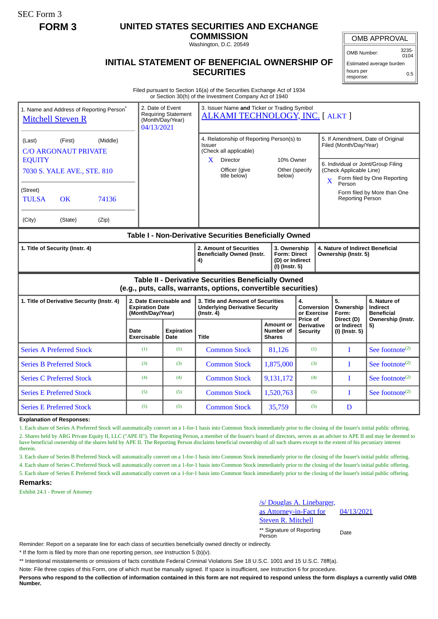SEC Form 3

## **FORM 3 UNITED STATES SECURITIES AND EXCHANGE**

**COMMISSION**

Washington, D.C. 20549

## **INITIAL STATEMENT OF BENEFICIAL OWNERSHIP OF SECURITIES**

OMB APPROVAL

OMB Number: 3235-  $0104$ Estimated average burden

0.5

hours per response:

Filed pursuant to Section 16(a) of the Securities Exchange Act of 1934 or Section 30(h) of the Investment Company Act of 1940

| 1. Name and Address of Reporting Person <sup>®</sup><br><b>Mitchell Steven R</b>                                      |                                 |       | 2. Date of Event<br>3. Issuer Name and Ticker or Trading Symbol<br><b>Requiring Statement</b><br><b>ALKAMI TECHNOLOGY, INC. [ ALKT ]</b><br>(Month/Day/Year)<br>04/13/2021 |                                                                    |                                                                                          |                                                |                                                          |  |                                                                                                                                                                                        |                                               |  |
|-----------------------------------------------------------------------------------------------------------------------|---------------------------------|-------|----------------------------------------------------------------------------------------------------------------------------------------------------------------------------|--------------------------------------------------------------------|------------------------------------------------------------------------------------------|------------------------------------------------|----------------------------------------------------------|--|----------------------------------------------------------------------------------------------------------------------------------------------------------------------------------------|-----------------------------------------------|--|
| (Middle)<br>(First)<br>(Last)<br><b>C/O ARGONAUT PRIVATE</b>                                                          |                                 |       |                                                                                                                                                                            |                                                                    | 4. Relationship of Reporting Person(s) to<br>Issuer<br>(Check all applicable)            |                                                | 10% Owner<br>Other (specify<br>below)                    |  | 5. If Amendment, Date of Original<br>Filed (Month/Day/Year)<br>6. Individual or Joint/Group Filing<br>(Check Applicable Line)<br>Form filed by One Reporting<br>$\mathbf{X}$<br>Person |                                               |  |
| <b>EQUITY</b><br>7030 S. YALE AVE., STE. 810                                                                          |                                 |       |                                                                                                                                                                            |                                                                    | Director<br>$\mathbf{X}$<br>Officer (give<br>title below)                                |                                                |                                                          |  |                                                                                                                                                                                        |                                               |  |
| (Street)<br><b>TULSA</b>                                                                                              | <b>OK</b>                       | 74136 |                                                                                                                                                                            |                                                                    |                                                                                          |                                                |                                                          |  | <b>Reporting Person</b>                                                                                                                                                                | Form filed by More than One                   |  |
| (City)                                                                                                                | (State)<br>(Zip)                |       |                                                                                                                                                                            |                                                                    |                                                                                          |                                                |                                                          |  |                                                                                                                                                                                        |                                               |  |
| Table I - Non-Derivative Securities Beneficially Owned                                                                |                                 |       |                                                                                                                                                                            |                                                                    |                                                                                          |                                                |                                                          |  |                                                                                                                                                                                        |                                               |  |
| 1. Title of Security (Instr. 4)                                                                                       |                                 |       |                                                                                                                                                                            | 2. Amount of Securities<br><b>Beneficially Owned (Instr.</b><br>4) | 3. Ownership<br><b>Form: Direct</b><br>(D) or Indirect<br>(I) (Instr. 5)                 |                                                | 4. Nature of Indirect Beneficial<br>Ownership (Instr. 5) |  |                                                                                                                                                                                        |                                               |  |
| Table II - Derivative Securities Beneficially Owned<br>(e.g., puts, calls, warrants, options, convertible securities) |                                 |       |                                                                                                                                                                            |                                                                    |                                                                                          |                                                |                                                          |  |                                                                                                                                                                                        |                                               |  |
| 1. Title of Derivative Security (Instr. 4)                                                                            |                                 |       | 2. Date Exercisable and<br><b>Expiration Date</b><br>(Month/Day/Year)                                                                                                      |                                                                    | 3. Title and Amount of Securities<br><b>Underlying Derivative Security</b><br>(Instr. 4) |                                                | 4.<br><b>Conversion</b><br>or Exercise                   |  | 5.<br>Ownership<br>Form:                                                                                                                                                               | 6. Nature of<br>Indirect<br><b>Beneficial</b> |  |
|                                                                                                                       |                                 |       | Date<br>Exercisable                                                                                                                                                        | <b>Expiration</b><br>Date                                          | <b>Title</b>                                                                             | <b>Amount or</b><br>Number of<br><b>Shares</b> | Price of<br><b>Derivative</b><br><b>Security</b>         |  | Direct (D)<br>or Indirect<br>(I) (Instr. 5)                                                                                                                                            | Ownership (Instr.<br>5)                       |  |
|                                                                                                                       | <b>Series A Preferred Stock</b> |       | (1)                                                                                                                                                                        | (1)                                                                | <b>Common Stock</b>                                                                      | 81,126                                         | (1)                                                      |  | T                                                                                                                                                                                      | See footnote <sup>(2)</sup>                   |  |
|                                                                                                                       | <b>Series B Preferred Stock</b> |       | (3)                                                                                                                                                                        | (3)                                                                | <b>Common Stock</b>                                                                      | 1,875,000                                      | (3)                                                      |  | T                                                                                                                                                                                      | See footnote $(2)$                            |  |
| <b>Series C Preferred Stock</b>                                                                                       |                                 |       | (4)                                                                                                                                                                        | (4)                                                                | <b>Common Stock</b>                                                                      | 9,131,172                                      | (4)                                                      |  | I                                                                                                                                                                                      | See footnote $(2)$                            |  |
| <b>Series E Preferred Stock</b>                                                                                       |                                 |       | (5)                                                                                                                                                                        | (5)                                                                | <b>Common Stock</b>                                                                      | 1,520,763                                      | (5)                                                      |  | $\mathbf I$                                                                                                                                                                            | See footnote <sup>(2)</sup>                   |  |
| <b>Series E Preferred Stock</b>                                                                                       |                                 |       | (5)                                                                                                                                                                        | (5)                                                                | <b>Common Stock</b>                                                                      | 35,759                                         | (5)                                                      |  | D                                                                                                                                                                                      |                                               |  |

**Explanation of Responses:**

1. Each share of Series A Preferred Stock will automatically convert on a 1-for-1 basis into Common Stock immediately prior to the closing of the Issuer's initial public offering. 2. Shares held by ARG Private Equity II, LLC ("APE II"). The Reporting Person, a member of the Issuer's board of directors, serves as an adviser to APE II and may be deemed to have beneficial ownership of the shares held by APE II. The Reporting Person disclaims beneficial ownership of all such shares except to the extent of his pecuniary interest therein.

3. Each share of Series B Preferred Stock will automatically convert on a 1-for-1 basis into Common Stock immediately prior to the closing of the Issuer's initial public offering.

4. Each share of Series C Preferred Stock will automatically convert on a 1-for-1 basis into Common Stock immediately prior to the closing of the Issuer's initial public offering.

5. Each share of Series E Preferred Stock will automatically convert on a 1-for-1 basis into Common Stock immediately prior to the closing of the Issuer's initial public offering.

## **Remarks:**

Exhibit 24.1 - Power of Attorney

Douglas A. Linebarger, as Attorney-in-Fact for Steven R. Mitchell 04/13/2021

\*\* Signature of Reporting Person Date

Reminder: Report on a separate line for each class of securities beneficially owned directly or indirectly.

\* If the form is filed by more than one reporting person, *see* Instruction 5 (b)(v).

\*\* Intentional misstatements or omissions of facts constitute Federal Criminal Violations *See* 18 U.S.C. 1001 and 15 U.S.C. 78ff(a).

Note: File three copies of this Form, one of which must be manually signed. If space is insufficient, *see* Instruction 6 for procedure.

**Persons who respond to the collection of information contained in this form are not required to respond unless the form displays a currently valid OMB Number.**